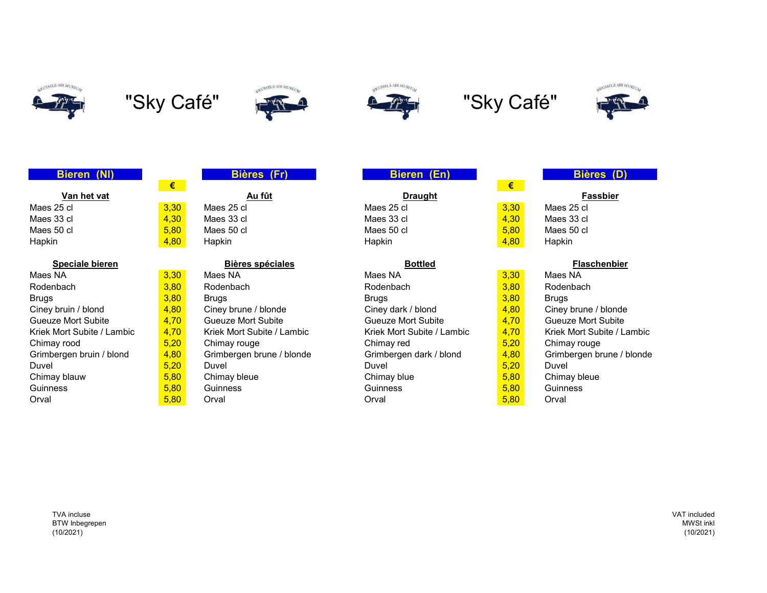













| Van het vat |
|-------------|
| es 25 cl    |
| aa 22 al    |

| Maes NA                    | 3,30 | Maes NA                    | Maes NA                    | 3,30 | Maes NA               |
|----------------------------|------|----------------------------|----------------------------|------|-----------------------|
| Rodenbach                  | 3,80 | Rodenbach                  | Rodenbach                  | 3,80 | Rodenbach             |
| <b>Brugs</b>               | 3,80 | Bruas                      | <b>Brugs</b>               | 3,80 | <b>Brugs</b>          |
| Ciney bruin / blond        | 4,80 | Ciney brune / blonde       | Ciney dark / blond         | 4,80 | Ciney brune /         |
| Gueuze Mort Subite         | 4,70 | <b>Gueuze Mort Subite</b>  | Gueuze Mort Subite         | 4,70 | Gueuze Mort 9         |
| Kriek Mort Subite / Lambic | 4,70 | Kriek Mort Subite / Lambic | Kriek Mort Subite / Lambic | 4,70 | <b>Kriek Mort Sub</b> |
| Chimay rood                | 5,20 | Chimay rouge               | Chimay red                 | 5,20 | Chimay rouge          |
| Grimbergen bruin / blond   | 4,80 | Grimbergen brune / blonde  | Grimbergen dark / blond    | 4,80 | Grimbergen bi         |
| Duvel                      | 5,20 | Duvel                      | Duvel                      | 5.20 | Duvel                 |
| Chimay blauw               | 5,80 | Chimay bleue               | Chimay blue                | 5,80 | Chimay bleue          |
| <b>Guinness</b>            | 5.80 | <b>Guinness</b>            | <b>Guinness</b>            | 5.80 | <b>Guinness</b>       |
| Orval                      | 5,80 | Orval                      | Orval                      | 5,80 | Orval                 |

# Bieren (Nl) Bières (Fr) Bieren (En) Bières (D)

<u>Van het vat Australia van die eerste van die deurste van die Draught van die van die Bassbier</u> Maes 25 cl <mark>\_3,30</mark> Maes 25 cl Maes 25 cl <mark>\_3,30</mark> Maes 25 cl Maes 33 cl <mark>\_4,30 </mark> Maes 33 cl Maes 33 cl <mark>\_4,30</mark> Maes 33 cl Maes 50 cl <mark> 5,80 </mark> Maes 50 cl Maes 50 cl <mark> 5,80</mark> Maes 50 cl Hapkin <mark> 4,80</mark> Hapkin Hapkin <mark> 4,80</mark> Hapkin

## Speciale bieren **Bières spéciales** Bottled Bottled **Bottled Bottled** Flaschenbier

|                 | <b>Bieres (Fr)</b> | Bieren (En)    |     |
|-----------------|--------------------|----------------|-----|
| €               |                    |                | €   |
|                 | <u>Au fût</u>      | <b>Draught</b> |     |
| 30 <sub>o</sub> | Maes 25 cl         | Maes 25 cl     | 3.3 |
| 30 <sub>o</sub> | Maes 33 cl         | Maes 33 cl     | 4.3 |
| .80             | Maes 50 cl         | Maes 50 cl     | 5.8 |
| .80             | Hapkin             | Hapkin         | 4.8 |

Maes NA <mark> 3,30</mark> Maes NA Maes NA <mark> 3,30 </mark> Maes NA 4,80 Ciney brune / blonde Ciney dark / blond 4,80 Ciney brune / blonde 4,70 Ciney brune / blonde 4,70 Ciney brune / blonde Gueuze Mort Subite 4,70 Gueuze Mort Subite Gueuze Mort Subite 4,70 Gueuze Mort Subite

| €    |
|------|
|      |
| 3,30 |
| 4,30 |
| 5,80 |
| 4.80 |

Kriek Mort Subite / Lambic **4,70** Kriek Mort Subite / Lambic  $\overline{a}$  4,70 Kriek Mort Subite / Lambic 4,80 Grimbergen brune / blonde Grimbergen dark / blond 4,80 Grimbergen brune / blonde 5,20 Duvel

TVA incluse BTW Inbegrepen (10/2021)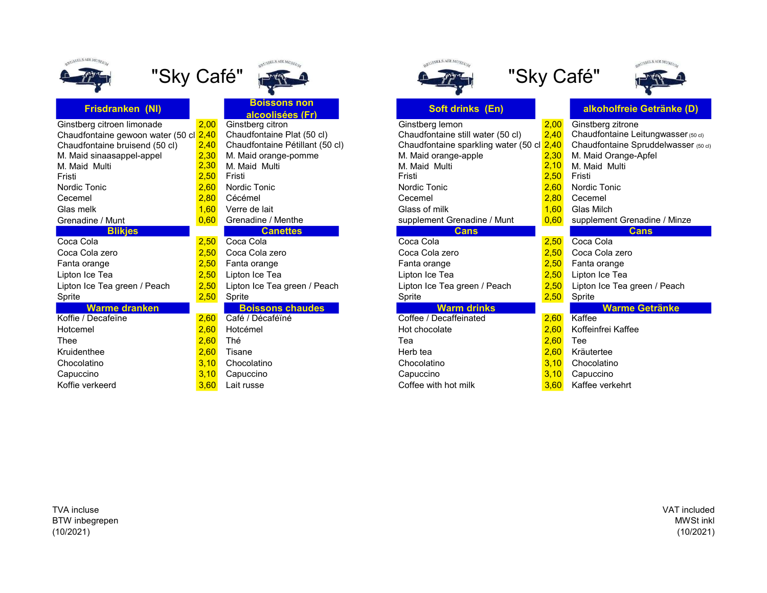

| Frisdranken (NI)                  |                |
|-----------------------------------|----------------|
| Ginstberg citroen limonade        |                |
| Chaudfontaine gewoon water (50 cl |                |
| Chaudfontaine bruisend (50 cl)    |                |
| M. Maid sinaasappel-appel         | $222$<br>$22$  |
| M. Maid Multi<br>Fristi           | $\overline{2}$ |
| Nordic Tonic                      | $\overline{2}$ |
| Cecemel                           | $\overline{2}$ |
| Glas melk                         | $\overline{1}$ |
| Grenadine / Munt                  | 0              |
| <b>Blikjes</b>                    |                |
| Coca Cola                         | $\overline{c}$ |
| Coca Cola zero                    | $\frac{2}{2}$  |
| Fanta orange                      |                |
| Lipton Ice Tea                    | $\overline{2}$ |
| Lipton Ice Tea green / Peach      | $\overline{2}$ |
| Sprite                            | 2              |
| <b>Warme dranken</b>              |                |
| Koffie / Decafeïne                | $\overline{c}$ |
| Hotcemel                          | $\overline{2}$ |
| Thee                              | $\overline{2}$ |
| Kruidenthee                       | $\overline{a}$ |
| Chocolatino                       | 3              |
| Capuccino                         | 3              |
| Koffie verkeerd                   | 3              |



**Boissons non<br>alcoolisées (Fr)** 

# <mark>.,00</mark> Ginstberg citron<br><u>1,40</u> Chaudfontaine Plat (50 cl) Chau

- <mark>.,30</mark> M. Maid orange-pomme M. Maid orange-pomme M. Maid orange-pomme M. Maid Orange-Apple 2,30 M. Ma<br>2,<mark>30</mark> M. Maid Multi <mark>,60</mark> Grenadine / Menthe supplement Grenadine / Menthe supple 1,<mark>50 Coca Cola 2,50 Coca Cola 2,50 Coca</mark><br>1,<mark>50</mark> Coca Cola zero 2,50 Coca Coca 2,50 Coca Lipton Ice Tea green / Peach 2,50 Lipton Ice Tea green / Peach Lipton Ice Tea green / Peach 2,50 Lipton Ice Tea green / Peach **Boissons chaudes** Koffie / Decafeïne 2,60 Café / Décaféïné Coffee / Decaffeinated 2,60 Kaffee
- 
- 
- 
- 

| SELS AIR MUSEUM |
|-----------------|
|                 |
|                 |





|                                                      |                                 | Soft drinks (En)                  |      | alkoholfreie Getränke (D)                            |
|------------------------------------------------------|---------------------------------|-----------------------------------|------|------------------------------------------------------|
| 2,00                                                 | Ginstberg citron                | Ginstberg lemon                   | 2,00 | Ginstberg zitrone                                    |
| Chaudfontaine gewoon water (50 cl <mark> 2,40</mark> | Chaudfontaine Plat (50 cl)      | Chaudfontaine still water (50 cl) | 2,40 | Chaudfontaine Leitungwasser (50 cl)                  |
| 2,40                                                 | Chaudfontaine Pétillant (50 cl) |                                   | 2,40 | Chaudfontaine Spruddelwasser (50 cl)                 |
| 2,30                                                 | M. Maid orange-pomme            | M. Maid orange-apple              | 2,30 | M. Maid Orange-Apfel                                 |
| 2,30                                                 | M. Maid Multi                   | M. Maid Multi                     |      | M. Maid Multi                                        |
| 2,50                                                 | Fristi                          | Fristi                            |      | Fristi                                               |
| 2,60                                                 | Nordic Tonic                    | Nordic Tonic                      | 2,60 | Nordic Tonic                                         |
| 2,80                                                 | Cécémel                         | Cecemel                           | 2,80 | Cecemel                                              |
| 1,60                                                 | Verre de lait                   | Glass of milk                     | 1,60 | Glas Milch                                           |
| 0,60                                                 | Grenadine / Menthe              | supplement Grenadine / Munt       | 0,60 | supplement Grenadine / Minze                         |
|                                                      | <b>Canettes</b>                 | <b>Cans</b>                       |      | <b>Cans</b>                                          |
| 2,50                                                 | Coca Cola                       | Coca Cola                         | 2,50 | Coca Cola                                            |
| 2,50                                                 | Coca Cola zero                  | Coca Cola zero                    | 2,50 | Coca Cola zero                                       |
| 2,50                                                 | Fanta orange                    | Fanta orange                      | 2,50 | Fanta orange                                         |
| 2,50                                                 | Lipton Ice Tea                  | Lipton Ice Tea                    | 2,50 | Lipton Ice Tea                                       |
| 2,50                                                 | Lipton Ice Tea green / Peach    | Lipton Ice Tea green / Peach      | 2,50 | Lipton Ice Tea green / Peach                         |
| 2,50                                                 | Sprite                          | Sprite                            | 2,50 | Sprite                                               |
|                                                      | <b>Boissons chaudes</b>         | <b>Warm drinks</b>                |      | <b>Warme Getränke</b>                                |
| 2,60                                                 | Café / Décaféïné                | Coffee / Decaffeinated            | 2,60 | Kaffee                                               |
| 2,60                                                 | Hotcémel                        | Hot chocolate                     | 2,60 | Koffeinfrei Kaffee                                   |
| 2,60                                                 | Thé                             | Tea                               | 2,60 | Tee                                                  |
| 2,60                                                 | Tisane                          | Herb tea                          | 2,60 | Kräutertee                                           |
| 3,10                                                 | Chocolatino                     | Chocolatino                       | 3,10 | Chocolatino                                          |
| 3,10                                                 | Capuccino                       | Capuccino                         | 3,10 | Capuccino                                            |
| 3,60                                                 | Lait russe                      | Coffee with hot milk              | 3,60 | Kaffee verkehrt                                      |
|                                                      |                                 | alcoolisées (Fr)                  |      | Chaudfontaine sparkling water (50 cl<br>2,10<br>2,50 |

TVA incluse BTW inbegrepen (10/2021)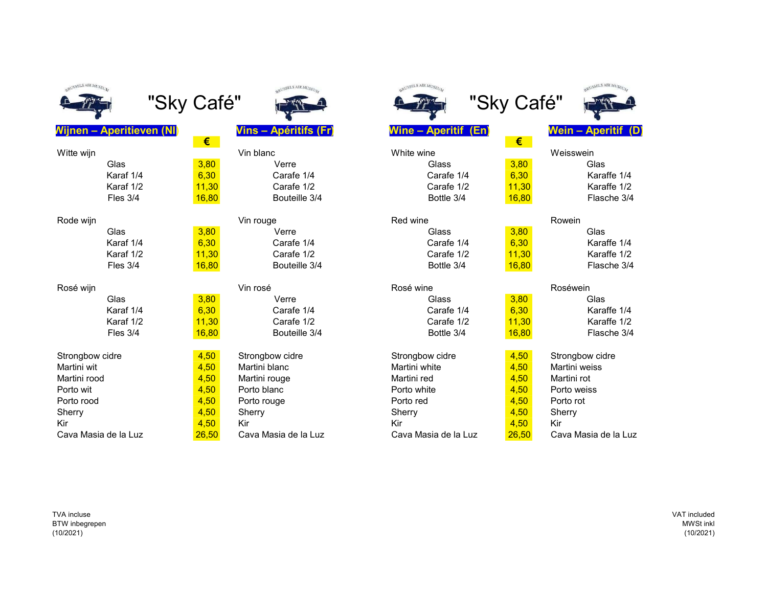RUSSELS AIR MUSEUL

| Witte wijn      |       | Vin blanc       | White wine      |       | W <sub>c</sub> |
|-----------------|-------|-----------------|-----------------|-------|----------------|
| Glas            | 3,80  | Verre           | Glass           | 3,80  |                |
| Karaf 1/4       | 6,30  | Carafe 1/4      | Carafe 1/4      | 6,30  |                |
| Karaf 1/2       | 11,30 | Carafe 1/2      | Carafe 1/2      | 11,30 |                |
| Fles 3/4        | 16,80 | Bouteille 3/4   | Bottle 3/4      | 16,80 |                |
| Rode wijn       |       | Vin rouge       | Red wine        |       | Ro             |
| Glas            | 3,80  | Verre           | Glass           | 3,80  |                |
| Karaf 1/4       | 6,30  | Carafe 1/4      | Carafe 1/4      | 6,30  |                |
| Karaf 1/2       | 11,30 | Carafe 1/2      | Carafe 1/2      | 11,30 |                |
| Fles 3/4        | 16,80 | Bouteille 3/4   | Bottle 3/4      | 16,80 |                |
| Rosé wijn       |       | Vin rosé        | Rosé wine       |       | Ro             |
| Glas            | 3,80  | Verre           | Glass           | 3,80  |                |
| Karaf 1/4       | 6,30  | Carafe 1/4      | Carafe 1/4      | 6,30  |                |
| Karaf 1/2       | 11,30 | Carafe 1/2      | Carafe 1/2      | 11,30 |                |
| Fles 3/4        | 16,80 | Bouteille 3/4   | Bottle 3/4      | 16,80 |                |
| Strongbow cidre | 4,50  | Strongbow cidre | Strongbow cidre | 4,50  | Str            |
| Martini wit     | 4,50  | Martini blanc   | Martini white   | 4,50  | Ma             |
| Martini rood    | 4,50  | Martini rouge   | Martini red     | 4,50  | Ma             |
| Porto wit       | 4,50  | Porto blanc     | Porto white     | 4,50  | Po             |
| Porto rood      | 4,50  | Porto rouge     | Porto red       | 4,50  | Po             |
| Sherry          | 4,50  | Sherry          | Sherry          | 4,50  | Sh             |
| Kir             | 4,50  | Kir             | Kir             | 4,50  | Kir            |



# Vijnen – Aperitieven (NI) Vins – Apéritifs (Fr) Wine – Aperitif (En) Wein – Aperitif (D)<br>De Carlo de Carlo de Carlo de Carlo de Carlo de Carlo de Carlo de Carlo de Carlo de Carlo de Carlo de Carlo de € €

- 
- ational Strongbow cidre 1980 Strongbow character Strongbow character Strongbow c<br>attending the Strongbow Control of the Strongbow character Strongbow cidensis of the Strongbow character Strong<br>Strong Martini blanc





|                 |                 | ≂.    |                 |                 | ≂.    |                 |
|-----------------|-----------------|-------|-----------------|-----------------|-------|-----------------|
| Witte wijn      |                 |       | Vin blanc       | White wine      |       | Weisswein       |
|                 | Glas            | 3,80  | Verre           | Glass           | 3,80  | Glas            |
|                 | Karaf 1/4       | 6,30  | Carafe 1/4      | Carafe 1/4      | 6,30  | Karaffe 1/4     |
|                 | Karaf 1/2       | 11,30 | Carafe 1/2      | Carafe 1/2      | 11,30 | Karaffe 1/2     |
|                 | Fles 3/4        | 16,80 | Bouteille 3/4   | Bottle 3/4      | 16,80 | Flasche 3/4     |
| Rode wijn       |                 |       | Vin rouge       | Red wine        |       | Rowein          |
|                 | Glas            | 3,80  | Verre           | Glass           | 3,80  | Glas            |
|                 | Karaf 1/4       | 6,30  | Carafe 1/4      | Carafe 1/4      | 6,30  | Karaffe 1/4     |
|                 | Karaf 1/2       | 11,30 | Carafe 1/2      | Carafe 1/2      | 11,30 | Karaffe 1/2     |
|                 | Fles 3/4        | 16,80 | Bouteille 3/4   | Bottle 3/4      | 16,80 | Flasche 3/4     |
| Rosé wijn       |                 |       | Vin rosé        | Rosé wine       |       | Roséwein        |
|                 | Glas            | 3,80  | Verre           | Glass           | 3,80  | Glas            |
|                 | Karaf 1/4       | 6,30  | Carafe 1/4      | Carafe 1/4      | 6,30  | Karaffe 1/4     |
|                 | Karaf 1/2       | 11,30 | Carafe 1/2      | Carafe 1/2      | 11,30 | Karaffe 1/2     |
|                 | <b>Fles 3/4</b> | 16,80 | Bouteille 3/4   | Bottle 3/4      | 16,80 | Flasche 3/4     |
| Strongbow cidre |                 | 4,50  | Strongbow cidre | Strongbow cidre | 4,50  | Strongbow cidre |
| Martini wit     |                 | 4,50  | Martini blanc   | Martini white   | 4,50  | Martini weiss   |
| Martini rood    |                 | 4,50  | Martini rouge   | Martini red     | 4,50  | Martini rot     |
| Porto wit       |                 | 4,50  | Porto blanc     | Porto white     | 4,50  | Porto weiss     |
| Porto rood      |                 | 4,50  | Porto rouge     | Porto red       | 4,50  | Porto rot       |
| Sherry          |                 | 4,50  | Sherry          | Sherry          | 4,50  | Sherry          |
|                 |                 |       |                 |                 |       |                 |

Cava Masia de la Luz 26,50 Cava Masia de la Luz Cava Masia de la Luz 26,50 Cava Masia de la Luz

TVA incluse BTW inbegrepen (10/2021)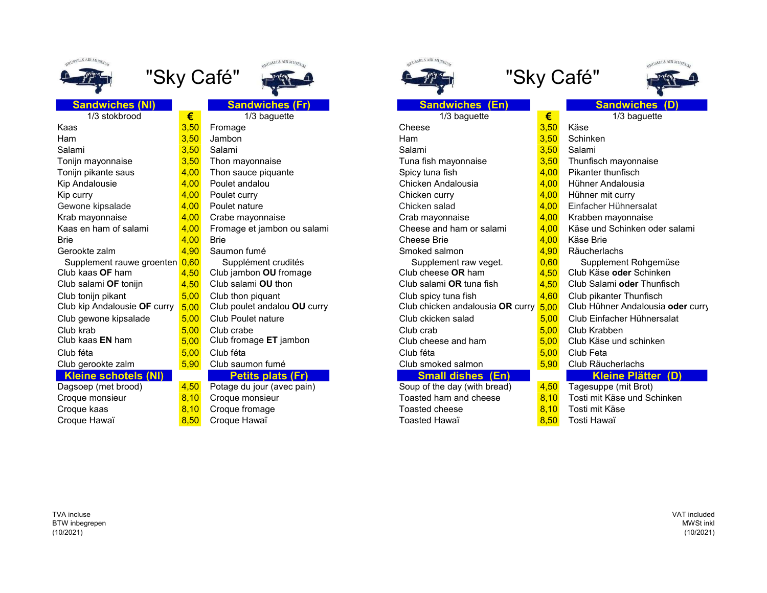

| Sandwiches (NI)              |      |
|------------------------------|------|
| 1/3 stokbrood                | €    |
| Kaas                         | 3,50 |
| Ham                          | 3,50 |
| Salami                       | 3,50 |
| Tonijn mayonnaise            | 3,50 |
| Tonijn pikante saus          | 4,00 |
| <b>Kip Andalousie</b>        | 4,00 |
| Kip curry                    | 4,00 |
| Gewone kipsalade             | 4,00 |
| Krab mayonnaise              | 4,00 |
| Kaas en ham of salami        | 4,00 |
| <b>Brie</b>                  | 4,00 |
| Gerookte zalm                | 4,90 |
| Supplement rauwe groenten    | 0,60 |
| Club kaas <b>OF</b> ham      | 4,50 |
| Club salami OF tonijn        | 4,50 |
| Club tonijn pikant           | 5,00 |
| Club kip Andalousie OF curry | 5,00 |
| Club gewone kipsalade        | 5,00 |
| Club krab                    | 5,00 |
| Club kaas EN ham             | 5,00 |
| Club féta                    | 5,00 |
| Club gerookte zalm           | 5,90 |
| <b>Kleine schotels (NI)</b>  |      |
| Dagsoep (met brood)          | 4,50 |
| Croque monsieur              | 8,10 |
| Croque kaas                  | 8,10 |
| Crogue Howaï                 | 9F   |





- 
- 
- 
- Crabe mayonnaise 4,000 Crab mayonnaise Crab mayonnaise Crab mayonnaise 6,00 Krabben mayonnaise 4,00 Krabben ma
- Fromage et jambon ou salami **4,00 Kham or salami Cheese**
- 
- 
- Supplément crudités Supplément crudités Supplément crudités<br>
Supplement Rohgemüseum Rohgemüseum Rohgemüseum Rohgemüseum Rohgemüseum Rohgemüseum Rohgemüseum Rohgemüseum Ro Club jambon **OU** fromage Club is Club cheese Club cheese Club schinkens of Club schinkens Club Schinkens of Club Schinkens of Club Schinkens Club Schinkens of Club Schinkens of Club Schinkens of Club Schinkens of Club Schi Club salami OU thon
- 
- 
- Club Poulet nature 5,000 Club Club Club Club Club Club Club Einfacher Hühnersalat 5,00 Club Einfacher Hühnersala
- 
- Club fromage ET jambon Club cheese and ham 5,000 Club cheese and ham 5,000 Club C
- -

# **Petits plats (Fr) Small dishes (Fr) Small Small Small Small Small Small Small Small Small Small Small Small Small Small Small Small Small Small Small Small Small Small Small Small Small Small Small Small Small Small Small**

- Potage du jour (avec pain) Soup of the Soup of the day (with Brotage in Brot) Soup of the day (mit Broth) Brot Croque fromage Toaste<br>Croque Hawaï Toaste
- 

| $1K$ MI text  |
|---------------|
| $\frac{1}{2}$ |
|               |





| <b>Sandwiches (NI)</b>         |            | <b>Sandwiches (Fr)</b>       | <b>Sandwiches (En)</b>           |      | <b>Sandwiches (D)</b>             |
|--------------------------------|------------|------------------------------|----------------------------------|------|-----------------------------------|
| 1/3 stokbrood                  | $\epsilon$ | 1/3 baguette                 | 1/3 baguette                     | €    | 1/3 baguette                      |
| Ƙaas                           | 3,50       | Fromage                      | Cheese                           | 3,50 | Käse                              |
| Ham                            | 3,50       | Jambon                       | Ham                              | 3,50 | Schinken                          |
| Salami                         | 3,50       | Salami                       | Salami                           | 3,50 | Salami                            |
| Tonijn mayonnaise              | 3,50       | Thon mayonnaise              | Tuna fish mayonnaise             | 3,50 | Thunfisch mayonnaise              |
| Tonijn pikante saus            | 4,00       | Thon sauce piquante          | Spicy tuna fish                  | 4,00 | Pikanter thunfisch                |
| Kip Andalousie                 | 4,00       | Poulet andalou               | Chicken Andalousia               | 4,00 | Hühner Andalousia                 |
| Kip curry                      | 4,00       | Poulet curry                 | Chicken curry                    | 4,00 | Hühner mit curry                  |
| Gewone kipsalade               | 4,00       | Poulet nature                | Chicken salad                    | 4,00 | Einfacher Hühnersalat             |
| Krab mayonnaise                | 4,00       | Crabe mayonnaise             | Crab mayonnaise                  | 4,00 | Krabben mayonnaise                |
| Kaas en ham of salami          | 4,00       | Fromage et jambon ou salami  | Cheese and ham or salami         | 4,00 | Käse und Schinken oder salami     |
| Brie                           | 4,00       | <b>Brie</b>                  | <b>Cheese Brie</b>               | 4,00 | Käse Brie                         |
| Gerookte zalm                  | 4,90       | Saumon fumé                  | Smoked salmon                    | 4,90 | <b>Räucherlachs</b>               |
| Supplement rauwe groenten 0,60 |            | Supplément crudités          | Supplement raw veget.            | 0,60 | Supplement Rohgemüse              |
| Club kaas <b>OF</b> ham        | 4,50       | Club jambon OU fromage       | Club cheese OR ham               | 4,50 | Club Käse oder Schinken           |
| Club salami OF tonijn          | 4,50       | Club salami OU thon          | Club salami OR tuna fish         | 4,50 | Club Salami oder Thunfisch        |
| Club tonijn pikant             | 5,00       | Club thon piquant            | Club spicy tuna fish             | 4,60 | Club pikanter Thunfisch           |
| Club kip Andalousie OF curry   | 5,00       | Club poulet andalou OU curry | Club chicken andalousia OR curry | 5,00 | Club Hühner Andalousia oder curry |
| Club gewone kipsalade          | 5,00       | Club Poulet nature           | Club ckicken salad               | 5,00 | Club Einfacher Hühnersalat        |
| Club krab                      | 5.00       | Club crabe                   | Club crab                        | 5,00 | Club Krabben                      |
| Club kaas <b>EN</b> ham        | 5,00       | Club fromage ET jambon       | Club cheese and ham              | 5,00 | Club Käse und schinken            |
| Club féta                      | 5.00       | Club féta                    | Club féta                        | 5,00 | Club Feta                         |
| Club gerookte zalm             | 5,90       | Club saumon fumé             | Club smoked salmon               | 5,90 | Club Räucherlachs                 |
| Kleine schotels (NI)           |            | <b>Petits plats (Fr)</b>     | <b>Small dishes (En)</b>         |      | <b>Kleine Plätter (D)</b>         |
| Dagsoep (met brood)            | 4,50       | Potage du jour (avec pain)   | Soup of the day (with bread)     | 4,50 | Tagesuppe (mit Brot)              |
| Croque monsieur                | 8,10       | Croque monsieur              | Toasted ham and cheese           | 8,10 | Tosti mit Käse und Schinken       |
| Croque kaas                    | 8.10       | Croque fromage               | <b>Toasted cheese</b>            | 8,10 | Tosti mit Käse                    |
| Croque Hawaï                   | 8,50       | Croque Hawaï                 | Toasted Hawaï                    | 8,50 | Tosti Hawaï                       |